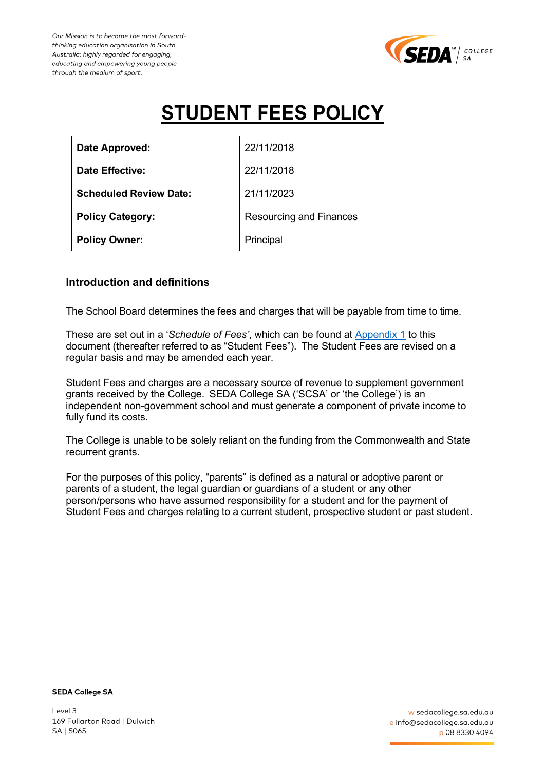

# **STUDENT FEES POLICY**

| Date Approved:                | 22/11/2018                     |  |
|-------------------------------|--------------------------------|--|
| <b>Date Effective:</b>        | 22/11/2018                     |  |
| <b>Scheduled Review Date:</b> | 21/11/2023                     |  |
| <b>Policy Category:</b>       | <b>Resourcing and Finances</b> |  |
| <b>Policy Owner:</b>          | Principal                      |  |

#### **Introduction and definitions**

The School Board determines the fees and charges that will be payable from time to time.

These are set out in a '*Schedule of Fees'*, which can be found at [Appendix 1](#page-7-0) to this document (thereafter referred to as "Student Fees"). The Student Fees are revised on a regular basis and may be amended each year.

Student Fees and charges are a necessary source of revenue to supplement government grants received by the College. SEDA College SA ('SCSA' or 'the College') is an independent non-government school and must generate a component of private income to fully fund its costs.

The College is unable to be solely reliant on the funding from the Commonwealth and State recurrent grants.

For the purposes of this policy, "parents" is defined as a natural or adoptive parent or parents of a student, the legal guardian or guardians of a student or any other person/persons who have assumed responsibility for a student and for the payment of Student Fees and charges relating to a current student, prospective student or past student.

**SEDA College SA** 

Level 3 169 Fullarton Road | Dulwich SA | 5065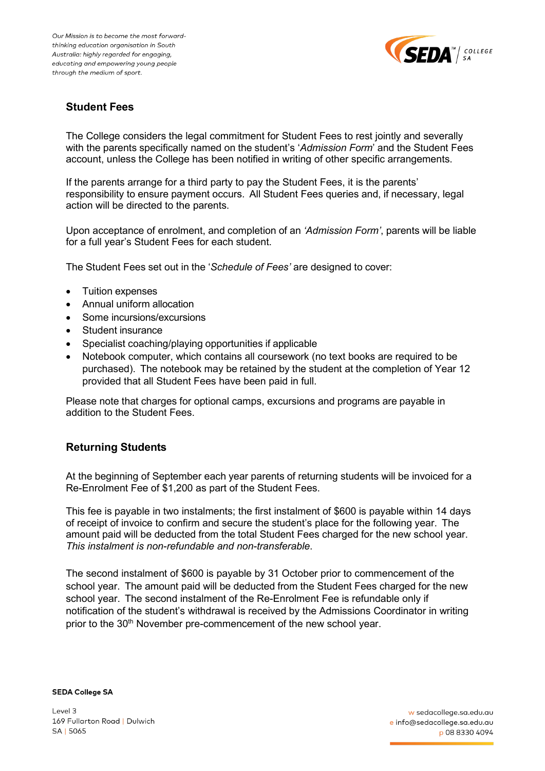

# **Student Fees**

The College considers the legal commitment for Student Fees to rest jointly and severally with the parents specifically named on the student's '*Admission Form*' and the Student Fees account, unless the College has been notified in writing of other specific arrangements.

If the parents arrange for a third party to pay the Student Fees, it is the parents' responsibility to ensure payment occurs. All Student Fees queries and, if necessary, legal action will be directed to the parents.

Upon acceptance of enrolment, and completion of an *'Admission Form'*, parents will be liable for a full year's Student Fees for each student.

The Student Fees set out in the '*Schedule of Fees'* are designed to cover:

- Tuition expenses
- Annual uniform allocation
- Some incursions/excursions
- Student insurance
- Specialist coaching/playing opportunities if applicable
- Notebook computer, which contains all coursework (no text books are required to be purchased). The notebook may be retained by the student at the completion of Year 12 provided that all Student Fees have been paid in full.

Please note that charges for optional camps, excursions and programs are payable in addition to the Student Fees.

#### **Returning Students**

At the beginning of September each year parents of returning students will be invoiced for a Re-Enrolment Fee of \$1,200 as part of the Student Fees.

This fee is payable in two instalments; the first instalment of \$600 is payable within 14 days of receipt of invoice to confirm and secure the student's place for the following year. The amount paid will be deducted from the total Student Fees charged for the new school year. *This instalment is non-refundable and non-transferable*.

The second instalment of \$600 is payable by 31 October prior to commencement of the school year. The amount paid will be deducted from the Student Fees charged for the new school year. The second instalment of the Re-Enrolment Fee is refundable only if notification of the student's withdrawal is received by the Admissions Coordinator in writing prior to the 30<sup>th</sup> November pre-commencement of the new school year.

**SEDA College SA** 

Level 3 169 Fullarton Road | Dulwich SA | 5065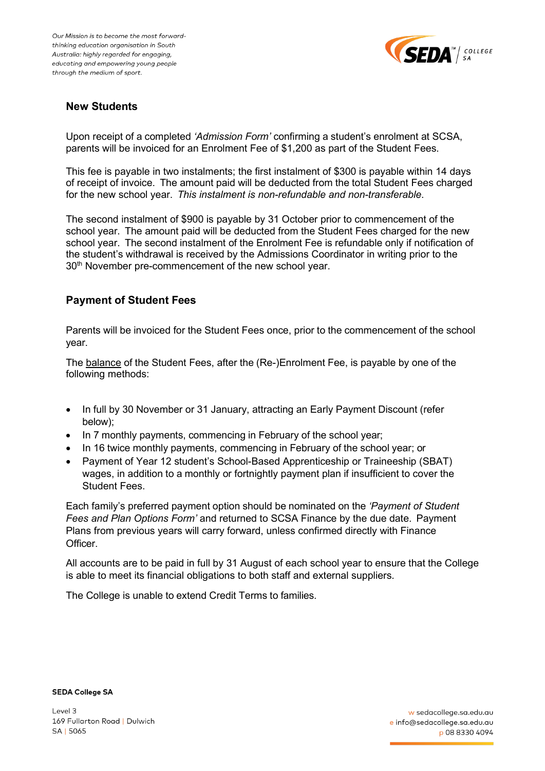

### **New Students**

Upon receipt of a completed *'Admission Form'* confirming a student's enrolment at SCSA, parents will be invoiced for an Enrolment Fee of \$1,200 as part of the Student Fees.

This fee is payable in two instalments; the first instalment of \$300 is payable within 14 days of receipt of invoice. The amount paid will be deducted from the total Student Fees charged for the new school year. *This instalment is non-refundable and non-transferable*.

The second instalment of \$900 is payable by 31 October prior to commencement of the school year. The amount paid will be deducted from the Student Fees charged for the new school year. The second instalment of the Enrolment Fee is refundable only if notification of the student's withdrawal is received by the Admissions Coordinator in writing prior to the 30<sup>th</sup> November pre-commencement of the new school year.

# **Payment of Student Fees**

Parents will be invoiced for the Student Fees once, prior to the commencement of the school year.

The balance of the Student Fees, after the (Re-)Enrolment Fee, is payable by one of the following methods:

- In full by 30 November or 31 January, attracting an Early Payment Discount (refer below);
- In 7 monthly payments, commencing in February of the school year;
- In 16 twice monthly payments, commencing in February of the school year; or
- Payment of Year 12 student's School-Based Apprenticeship or Traineeship (SBAT) wages, in addition to a monthly or fortnightly payment plan if insufficient to cover the Student Fees.

Each family's preferred payment option should be nominated on the *'Payment of Student Fees and Plan Options Form'* and returned to SCSA Finance by the due date. Payment Plans from previous years will carry forward, unless confirmed directly with Finance Officer.

All accounts are to be paid in full by 31 August of each school year to ensure that the College is able to meet its financial obligations to both staff and external suppliers.

The College is unable to extend Credit Terms to families.

**SEDA College SA** 

Level 3 169 Fullarton Road | Dulwich SA | 5065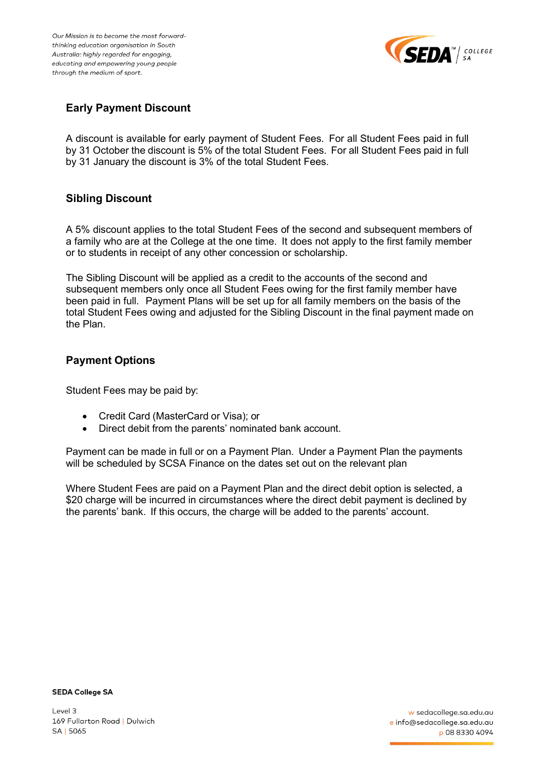

# **Early Payment Discount**

A discount is available for early payment of Student Fees. For all Student Fees paid in full by 31 October the discount is 5% of the total Student Fees. For all Student Fees paid in full by 31 January the discount is 3% of the total Student Fees.

## **Sibling Discount**

A 5% discount applies to the total Student Fees of the second and subsequent members of a family who are at the College at the one time. It does not apply to the first family member or to students in receipt of any other concession or scholarship.

The Sibling Discount will be applied as a credit to the accounts of the second and subsequent members only once all Student Fees owing for the first family member have been paid in full. Payment Plans will be set up for all family members on the basis of the total Student Fees owing and adjusted for the Sibling Discount in the final payment made on the Plan.

#### **Payment Options**

Student Fees may be paid by:

- Credit Card (MasterCard or Visa); or
- Direct debit from the parents' nominated bank account.

Payment can be made in full or on a Payment Plan. Under a Payment Plan the payments will be scheduled by SCSA Finance on the dates set out on the relevant plan

Where Student Fees are paid on a Payment Plan and the direct debit option is selected, a \$20 charge will be incurred in circumstances where the direct debit payment is declined by the parents' bank. If this occurs, the charge will be added to the parents' account.

**SEDA College SA** 

Level 3 169 Fullarton Road | Dulwich SA | 5065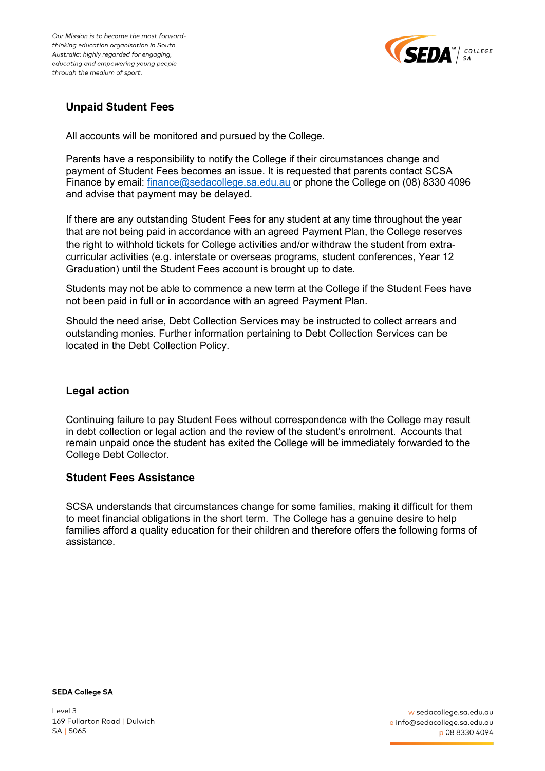

# **Unpaid Student Fees**

All accounts will be monitored and pursued by the College.

Parents have a responsibility to notify the College if their circumstances change and payment of Student Fees becomes an issue. It is requested that parents contact SCSA Finance by email: [finance@sedacollege.sa.edu.au](mailto:finance@sedacollege.sa.edu.au) or phone the [College](mailto:finance@sedacollege.sa.edu.au) on (08) 8330 4096 and advise that payment may be delayed.

If there are any outstanding Student Fees for any student at any time throughout the year that are not being paid in accordance with an agreed Payment Plan, the College reserves the right to withhold tickets for College activities and/or withdraw the student from extracurricular activities (e.g. interstate or overseas programs, student conferences, Year 12 Graduation) until the Student Fees account is brought up to date.

Students may not be able to commence a new term at the College if the Student Fees have not been paid in full or in accordance with an agreed Payment Plan.

Should the need arise, Debt Collection Services may be instructed to collect arrears and outstanding monies. Further information pertaining to Debt Collection Services can be located in the Debt Collection Policy.

### **Legal action**

Continuing failure to pay Student Fees without correspondence with the College may result in debt collection or legal action and the review of the student's enrolment. Accounts that remain unpaid once the student has exited the College will be immediately forwarded to the College Debt Collector.

#### **Student Fees Assistance**

SCSA understands that circumstances change for some families, making it difficult for them to meet financial obligations in the short term. The College has a genuine desire to help families afford a quality education for their children and therefore offers the following forms of assistance.

**SEDA College SA** 

Level 3 169 Fullarton Road | Dulwich SA | 5065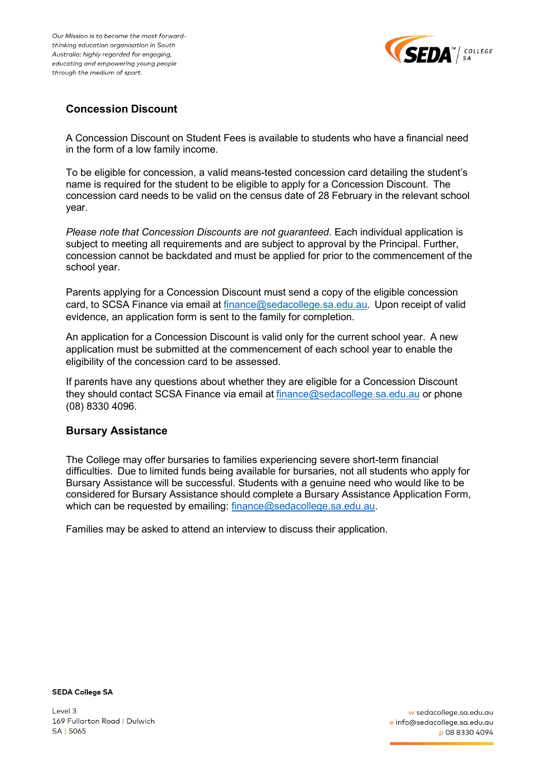

### **Concession Discount**

A Concession Discount on Student Fees is available to students who have a financial need in the form of a low family income.

To be eligible for concession, a valid means-tested concession card detailing the student's name is required for the student to be eligible to apply for a Concession Discount. The concession card needs to be valid on the census date of 28 February in the relevant school year.

*Please note that Concession Discounts are not guaranteed*. Each individual application is subject to meeting all requirements and are subject to approval by the Principal. Further, concession cannot be backdated and must be applied for prior to the commencement of the school year.

Parents applying for a Concession Discount must send a copy of the eligible concession card, to SCSA Finance via email at [finance@sedacollege.sa.edu.au.](mailto:finance@sedacollege.sa.edu.au) Upon receipt of valid evidence, an application form is sent to the family for completion.

An application for a Concession Discount is valid only for the current school year. A new application must be submitted at the commencement of each school year to enable the eligibility of the concession card to be assessed.

If parents have any questions about whether they are eligible for a Concession Discount they should contact SCSA Finance via email at [finance@sedacollege.sa.edu.au](mailto:finance@sedacollege.sa.edu.au) or phone (08) 8330 4096.

#### **Bursary Assistance**

The College may offer bursaries to families experiencing severe short-term financial difficulties. Due to limited funds being available for bursaries, not all students who apply for Bursary Assistance will be successful. Students with a genuine need who would like to be considered for Bursary Assistance should complete a Bursary Assistance Application Form, which can be requested by emailing: [finance@sedacollege.sa.edu.au.](mailto:finance@sedacollege.sa.edu.au)

Families may be asked to attend an interview to discuss their application.

**SEDA College SA** 

Level 3 169 Fullarton Road | Dulwich SA | 5065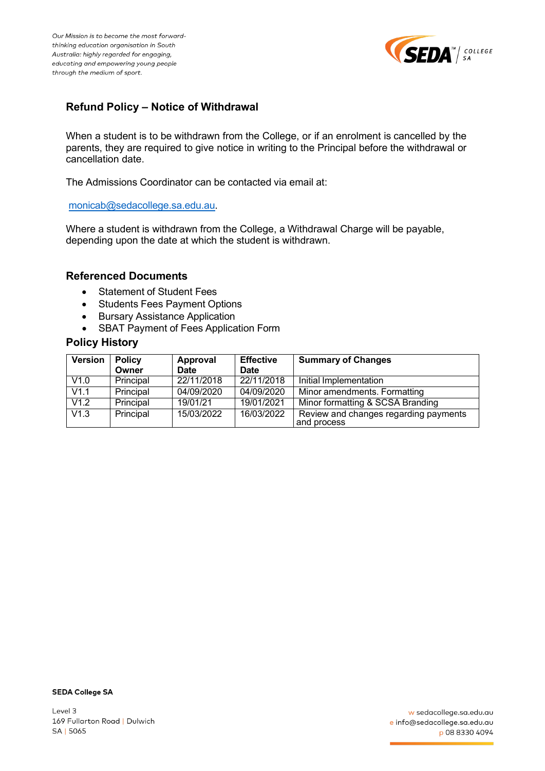

# **Refund Policy – Notice of Withdrawal**

When a student is to be withdrawn from the College, or if an enrolment is cancelled by the parents, they are required to give notice in writing to the Principal before the withdrawal or cancellation date.

The Admissions Coordinator can be contacted via email at:

[monicab@sedacollege.sa.edu.au.](mailto:monicab@sedacollege.sa.edu.au)

Where a student is withdrawn from the College, a Withdrawal Charge will be payable, depending upon the date at which the student is withdrawn.

#### **Referenced Documents**

- Statement of Student Fees
- Students Fees Payment Options
- Bursary Assistance Application
- SBAT Payment of Fees Application Form

#### **Policy History**

| <b>Version</b> | <b>Policy</b> | Approval    | <b>Effective</b> | <b>Summary of Changes</b>                            |
|----------------|---------------|-------------|------------------|------------------------------------------------------|
|                | Owner         | <b>Date</b> | <b>Date</b>      |                                                      |
| V1.0           | Principal     | 22/11/2018  | 22/11/2018       | Initial Implementation                               |
| V1.1           | Principal     | 04/09/2020  | 04/09/2020       | Minor amendments. Formatting                         |
| V1.2           | Principal     | 19/01/21    | 19/01/2021       | Minor formatting & SCSA Branding                     |
| V1.3           | Principal     | 15/03/2022  | 16/03/2022       | Review and changes regarding payments<br>and process |